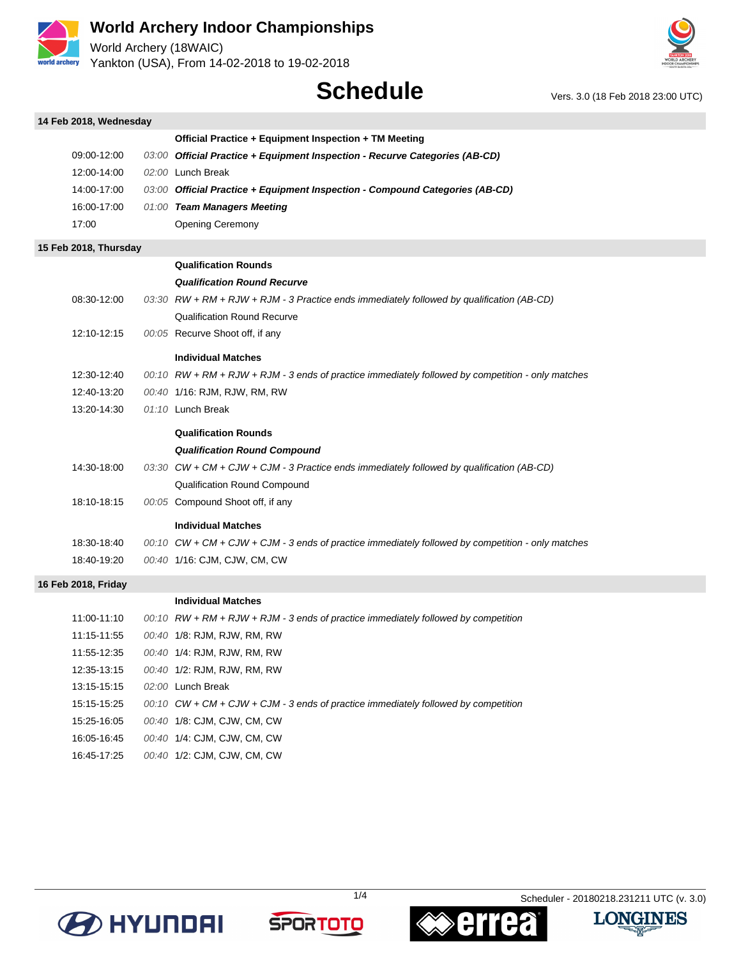

**14 Feb 2018, Wednesday**

# **World Archery Indoor Championships**

World Archery (18WAIC) Yankton (USA), From 14-02-2018 to 19-02-2018



# **Schedule** Vers. 3.0 (18 Feb 2018 23:00 UTC)

| 14 Feb 2018, weanesaay |                                                                                                     |
|------------------------|-----------------------------------------------------------------------------------------------------|
|                        | Official Practice + Equipment Inspection + TM Meeting                                               |
| 09:00-12:00            | 03:00 Official Practice + Equipment Inspection - Recurve Categories (AB-CD)                         |
| 12:00-14:00            | 02:00 Lunch Break                                                                                   |
| 14:00-17:00            | 03:00 Official Practice + Equipment Inspection - Compound Categories (AB-CD)                        |
| 16:00-17:00            | 01:00 Team Managers Meeting                                                                         |
| 17:00                  | Opening Ceremony                                                                                    |
| 15 Feb 2018, Thursday  |                                                                                                     |
|                        | <b>Qualification Rounds</b>                                                                         |
|                        | <b>Qualification Round Recurve</b>                                                                  |
| 08:30-12:00            | 03:30 $RW + RM + RJW + RJM - 3$ Practice ends immediately followed by qualification (AB-CD)         |
|                        | <b>Qualification Round Recurve</b>                                                                  |
| 12:10-12:15            | 00:05 Recurve Shoot off, if any                                                                     |
|                        | <b>Individual Matches</b>                                                                           |
| 12:30-12:40            | 00:10 RW + RM + RJW + RJM - 3 ends of practice immediately followed by competition - only matches   |
| 12:40-13:20            | 00:40 1/16: RJM, RJW, RM, RW                                                                        |
| 13:20-14:30            | 01:10 Lunch Break                                                                                   |
|                        | <b>Qualification Rounds</b>                                                                         |
|                        | <b>Qualification Round Compound</b>                                                                 |
| 14:30-18:00            | 03:30 $CW + CM + CJW + CJM - 3$ Practice ends immediately followed by qualification (AB-CD)         |
|                        | <b>Qualification Round Compound</b>                                                                 |
| 18:10-18:15            | 00:05 Compound Shoot off, if any                                                                    |
|                        | <b>Individual Matches</b>                                                                           |
| 18:30-18:40            | 00:10 $CW + CM + CJW + CJM - 3$ ends of practice immediately followed by competition - only matches |
| 18:40-19:20            | 00:40 1/16: CJM, CJW, CM, CW                                                                        |
| 16 Feb 2018, Friday    |                                                                                                     |
|                        | <b>Individual Matches</b>                                                                           |
| 11:00-11:10            | 00:10 $RW + RM + RJW + RJM - 3$ ends of practice immediately followed by competition                |
| 11:15-11:55            | 00:40 1/8: RJM, RJW, RM, RW                                                                         |
| 11:55-12:35            | 00:40 1/4: RJM, RJW, RM, RW                                                                         |
| 12:35-13:15            | 00:40 1/2: RJM, RJW, RM, RW                                                                         |
| 13:15-15:15            | 02:00 Lunch Break                                                                                   |
| 15:15-15:25            | $00:10$ CW + CM + CJW + CJM - 3 ends of practice immediately followed by competition                |

15:25-16:05 00:40 1/8: CJM, CJW, CM, CW 16:05-16:45 00:40 1/4: CJM, CJW, CM, CW

16:45-17:25 00:40 1/2: CJM, CJW, CM, CW







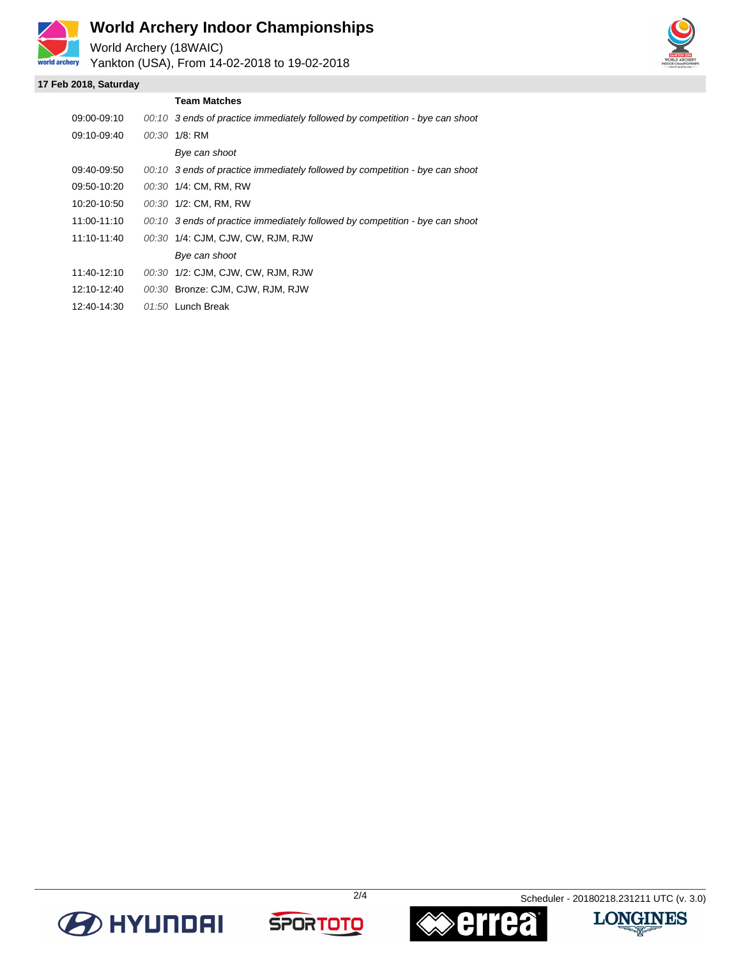

# **World Archery Indoor Championships**

World Archery (18WAIC) Yankton (USA), From 14-02-2018 to 19-02-2018

### **17 Feb 2018, Saturday**

|             | <b>Team Matches</b>                                                          |
|-------------|------------------------------------------------------------------------------|
| 09:00-09:10 | 00:10 3 ends of practice immediately followed by competition - bye can shoot |
| 09:10-09:40 | 00:30 1/8: RM                                                                |
|             | Bye can shoot                                                                |
| 09:40-09:50 | 00:10 3 ends of practice immediately followed by competition - bye can shoot |
| 09:50-10:20 | 00:30 1/4: CM, RM, RW                                                        |
| 10:20-10:50 | 00:30 1/2: CM, RM, RW                                                        |
| 11:00-11:10 | 00:10 3 ends of practice immediately followed by competition - bye can shoot |
| 11:10-11:40 | 00:30 1/4: CJM, CJW, CW, RJM, RJW                                            |
|             | Bye can shoot                                                                |
| 11:40-12:10 | 00:30 1/2: CJM, CJW, CW, RJM, RJW                                            |
| 12:10-12:40 | 00:30 Bronze: CJM, CJW, RJM, RJW                                             |
| 12:40-14:30 | $01:50$ Lunch Break                                                          |







2/4 Scheduler - 20180218.231211 UTC (v. 3.0)

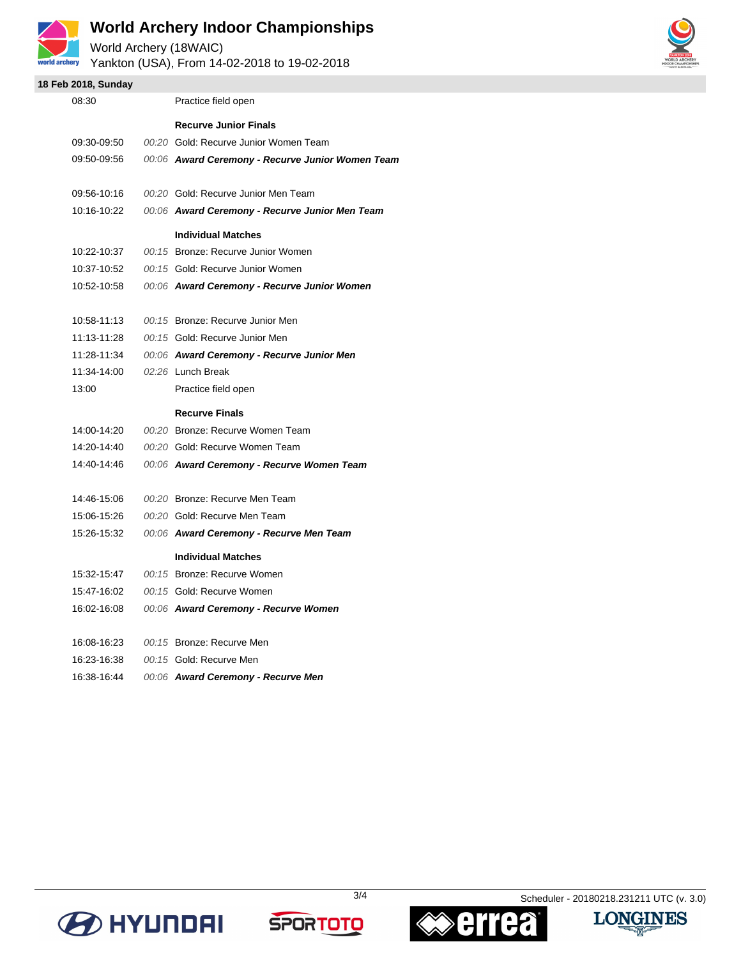

# **World Archery Indoor Championships**

World Archery (18WAIC) Yankton (USA), From 14-02-2018 to 19-02-2018



### **18 Feb 2018, Sunday**

| 08:30       | Practice field open                              |
|-------------|--------------------------------------------------|
|             | <b>Recurve Junior Finals</b>                     |
| 09:30-09:50 | 00:20 Gold: Recurve Junior Women Team            |
| 09:50-09:56 | 00:06 Award Ceremony - Recurve Junior Women Team |
|             |                                                  |
| 09:56-10:16 | 00:20 Gold: Recurve Junior Men Team              |
| 10:16-10:22 | 00:06 Award Ceremony - Recurve Junior Men Team   |
|             | <b>Individual Matches</b>                        |
| 10:22-10:37 | 00:15 Bronze: Recurve Junior Women               |
| 10:37-10:52 | 00:15 Gold: Recurve Junior Women                 |
| 10:52-10:58 | 00:06 Award Ceremony - Recurve Junior Women      |
|             |                                                  |
| 10:58-11:13 | 00:15 Bronze: Recurve Junior Men                 |
| 11:13-11:28 | 00:15 Gold: Recurve Junior Men                   |
| 11:28-11:34 | 00:06 Award Ceremony - Recurve Junior Men        |
| 11:34-14:00 | 02:26 Lunch Break                                |
| 13:00       | Practice field open                              |
|             | <b>Recurve Finals</b>                            |
| 14:00-14:20 | 00:20 Bronze: Recurve Women Team                 |
| 14:20-14:40 | 00:20 Gold: Recurve Women Team                   |
| 14:40-14:46 | 00:06 Award Ceremony - Recurve Women Team        |
|             |                                                  |
| 14:46-15:06 | 00:20 Bronze: Recurve Men Team                   |
| 15:06-15:26 | 00:20 Gold: Recurve Men Team                     |
| 15:26-15:32 | 00:06 Award Ceremony - Recurve Men Team          |
|             | <b>Individual Matches</b>                        |
| 15:32-15:47 | 00:15 Bronze: Recurve Women                      |
| 15:47-16:02 | 00:15 Gold: Recurve Women                        |
| 16:02-16:08 | 00:06 Award Ceremony - Recurve Women             |
|             |                                                  |
| 16:08-16:23 | 00:15 Bronze: Recurve Men                        |
| 16:23-16:38 | 00:15 Gold: Recurve Men                          |
| 16:38-16:44 | 00:06 Award Ceremony - Recurve Men               |
|             |                                                  |







3/4 Scheduler - 20180218.231211 UTC (v. 3.0)

**LONGINES** 

感